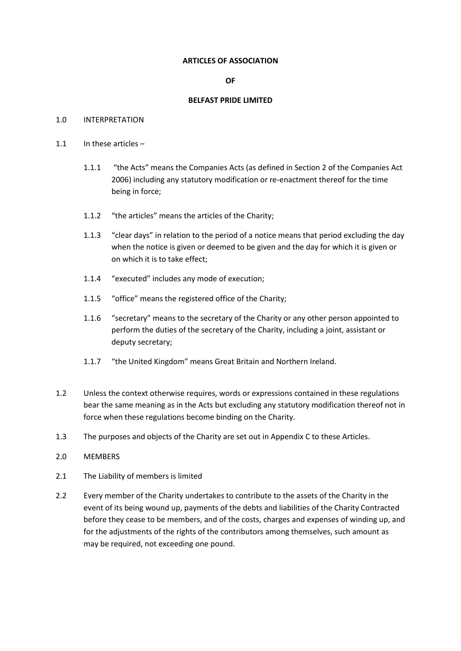#### **ARTICLES OF ASSOCIATION**

# **OF**

## **BELFAST PRIDE LIMITED**

## 1.0 INTERPRETATION

- 1.1 In these articles
	- 1.1.1 "the Acts" means the Companies Acts (as defined in Section 2 of the Companies Act 2006) including any statutory modification or re-enactment thereof for the time being in force;
	- 1.1.2 "the articles" means the articles of the Charity;
	- 1.1.3 "clear days" in relation to the period of a notice means that period excluding the day when the notice is given or deemed to be given and the day for which it is given or on which it is to take effect;
	- 1.1.4 "executed" includes any mode of execution;
	- 1.1.5 "office" means the registered office of the Charity;
	- 1.1.6 "secretary" means to the secretary of the Charity or any other person appointed to perform the duties of the secretary of the Charity, including a joint, assistant or deputy secretary;
	- 1.1.7 "the United Kingdom" means Great Britain and Northern Ireland.
- 1.2 Unless the context otherwise requires, words or expressions contained in these regulations bear the same meaning as in the Acts but excluding any statutory modification thereof not in force when these regulations become binding on the Charity.
- 1.3 The purposes and objects of the Charity are set out in Appendix C to these Articles.
- 2.0 MEMBERS
- 2.1 The Liability of members is limited
- 2.2 Every member of the Charity undertakes to contribute to the assets of the Charity in the event of its being wound up, payments of the debts and liabilities of the Charity Contracted before they cease to be members, and of the costs, charges and expenses of winding up, and for the adjustments of the rights of the contributors among themselves, such amount as may be required, not exceeding one pound.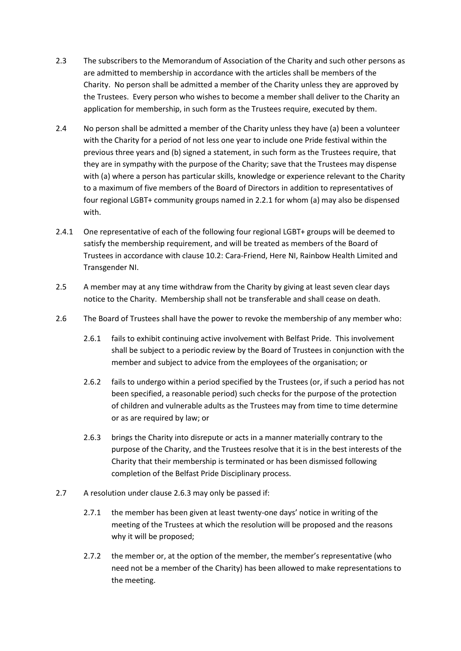- 2.3 The subscribers to the Memorandum of Association of the Charity and such other persons as are admitted to membership in accordance with the articles shall be members of the Charity. No person shall be admitted a member of the Charity unless they are approved by the Trustees. Every person who wishes to become a member shall deliver to the Charity an application for membership, in such form as the Trustees require, executed by them.
- 2.4 No person shall be admitted a member of the Charity unless they have (a) been a volunteer with the Charity for a period of not less one year to include one Pride festival within the previous three years and (b) signed a statement, in such form as the Trustees require, that they are in sympathy with the purpose of the Charity; save that the Trustees may dispense with (a) where a person has particular skills, knowledge or experience relevant to the Charity to a maximum of five members of the Board of Directors in addition to representatives of four regional LGBT+ community groups named in 2.2.1 for whom (a) may also be dispensed with.
- 2.4.1 One representative of each of the following four regional LGBT+ groups will be deemed to satisfy the membership requirement, and will be treated as members of the Board of Trustees in accordance with clause 10.2: Cara-Friend, Here NI, Rainbow Health Limited and Transgender NI.
- 2.5 A member may at any time withdraw from the Charity by giving at least seven clear days notice to the Charity. Membership shall not be transferable and shall cease on death.
- 2.6 The Board of Trustees shall have the power to revoke the membership of any member who:
	- 2.6.1 fails to exhibit continuing active involvement with Belfast Pride. This involvement shall be subject to a periodic review by the Board of Trustees in conjunction with the member and subject to advice from the employees of the organisation; or
	- 2.6.2 fails to undergo within a period specified by the Trustees (or, if such a period has not been specified, a reasonable period) such checks for the purpose of the protection of children and vulnerable adults as the Trustees may from time to time determine or as are required by law; or
	- 2.6.3 brings the Charity into disrepute or acts in a manner materially contrary to the purpose of the Charity, and the Trustees resolve that it is in the best interests of the Charity that their membership is terminated or has been dismissed following completion of the Belfast Pride Disciplinary process.
- 2.7 A resolution under clause 2.6.3 may only be passed if:
	- 2.7.1 the member has been given at least twenty-one days' notice in writing of the meeting of the Trustees at which the resolution will be proposed and the reasons why it will be proposed;
	- 2.7.2 the member or, at the option of the member, the member's representative (who need not be a member of the Charity) has been allowed to make representations to the meeting.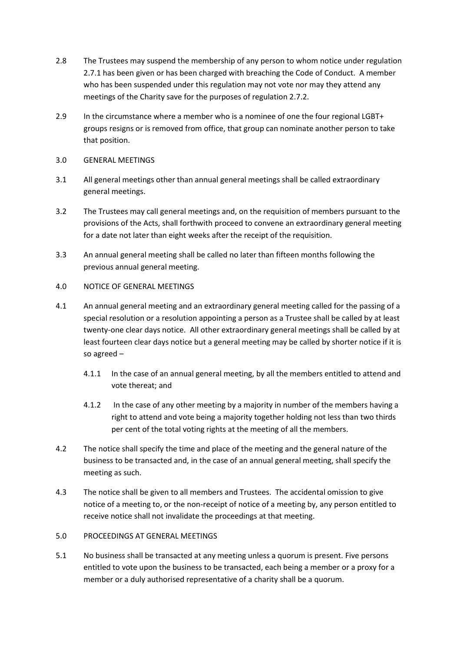- 2.8 The Trustees may suspend the membership of any person to whom notice under regulation 2.7.1 has been given or has been charged with breaching the Code of Conduct. A member who has been suspended under this regulation may not vote nor may they attend any meetings of the Charity save for the purposes of regulation 2.7.2.
- 2.9 In the circumstance where a member who is a nominee of one the four regional LGBT+ groups resigns or is removed from office, that group can nominate another person to take that position.
- 3.0 GENERAL MEETINGS
- 3.1 All general meetings other than annual general meetings shall be called extraordinary general meetings.
- 3.2 The Trustees may call general meetings and, on the requisition of members pursuant to the provisions of the Acts, shall forthwith proceed to convene an extraordinary general meeting for a date not later than eight weeks after the receipt of the requisition.
- 3.3 An annual general meeting shall be called no later than fifteen months following the previous annual general meeting.
- 4.0 NOTICE OF GENERAL MEETINGS
- 4.1 An annual general meeting and an extraordinary general meeting called for the passing of a special resolution or a resolution appointing a person as a Trustee shall be called by at least twenty-one clear days notice. All other extraordinary general meetings shall be called by at least fourteen clear days notice but a general meeting may be called by shorter notice if it is so agreed –
	- 4.1.1 In the case of an annual general meeting, by all the members entitled to attend and vote thereat; and
	- 4.1.2 In the case of any other meeting by a majority in number of the members having a right to attend and vote being a majority together holding not less than two thirds per cent of the total voting rights at the meeting of all the members.
- 4.2 The notice shall specify the time and place of the meeting and the general nature of the business to be transacted and, in the case of an annual general meeting, shall specify the meeting as such.
- 4.3 The notice shall be given to all members and Trustees. The accidental omission to give notice of a meeting to, or the non-receipt of notice of a meeting by, any person entitled to receive notice shall not invalidate the proceedings at that meeting.
- 5.0 PROCEEDINGS AT GENERAL MEETINGS
- 5.1 No business shall be transacted at any meeting unless a quorum is present. Five persons entitled to vote upon the business to be transacted, each being a member or a proxy for a member or a duly authorised representative of a charity shall be a quorum.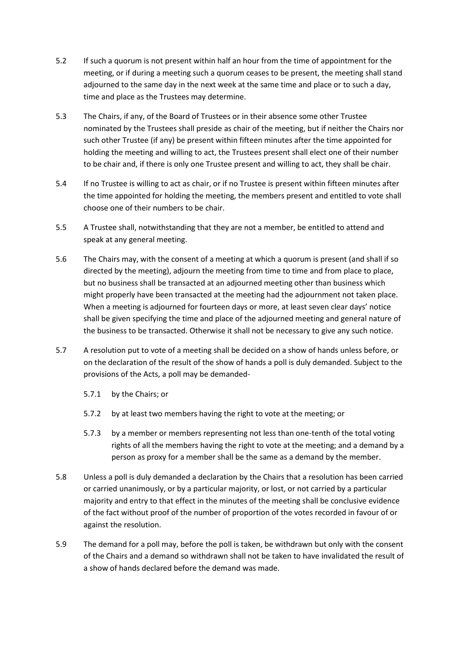- 5.2 If such a quorum is not present within half an hour from the time of appointment for the meeting, or if during a meeting such a quorum ceases to be present, the meeting shall stand adjourned to the same day in the next week at the same time and place or to such a day, time and place as the Trustees may determine.
- 5.3 The Chairs, if any, of the Board of Trustees or in their absence some other Trustee nominated by the Trustees shall preside as chair of the meeting, but if neither the Chairs nor such other Trustee (if any) be present within fifteen minutes after the time appointed for holding the meeting and willing to act, the Trustees present shall elect one of their number to be chair and, if there is only one Trustee present and willing to act, they shall be chair.
- 5.4 If no Trustee is willing to act as chair, or if no Trustee is present within fifteen minutes after the time appointed for holding the meeting, the members present and entitled to vote shall choose one of their numbers to be chair.
- 5.5 A Trustee shall, notwithstanding that they are not a member, be entitled to attend and speak at any general meeting.
- 5.6 The Chairs may, with the consent of a meeting at which a quorum is present (and shall if so directed by the meeting), adjourn the meeting from time to time and from place to place, but no business shall be transacted at an adjourned meeting other than business which might properly have been transacted at the meeting had the adjournment not taken place. When a meeting is adjourned for fourteen days or more, at least seven clear days' notice shall be given specifying the time and place of the adjourned meeting and general nature of the business to be transacted. Otherwise it shall not be necessary to give any such notice.
- 5.7 A resolution put to vote of a meeting shall be decided on a show of hands unless before, or on the declaration of the result of the show of hands a poll is duly demanded. Subject to the provisions of the Acts, a poll may be demanded-
	- 5.7.1 by the Chairs; or
	- 5.7.2 by at least two members having the right to vote at the meeting; or
	- 5.7.3 by a member or members representing not less than one-tenth of the total voting rights of all the members having the right to vote at the meeting; and a demand by a person as proxy for a member shall be the same as a demand by the member.
- 5.8 Unless a poll is duly demanded a declaration by the Chairs that a resolution has been carried or carried unanimously, or by a particular majority, or lost, or not carried by a particular majority and entry to that effect in the minutes of the meeting shall be conclusive evidence of the fact without proof of the number of proportion of the votes recorded in favour of or against the resolution.
- 5.9 The demand for a poll may, before the poll is taken, be withdrawn but only with the consent of the Chairs and a demand so withdrawn shall not be taken to have invalidated the result of a show of hands declared before the demand was made.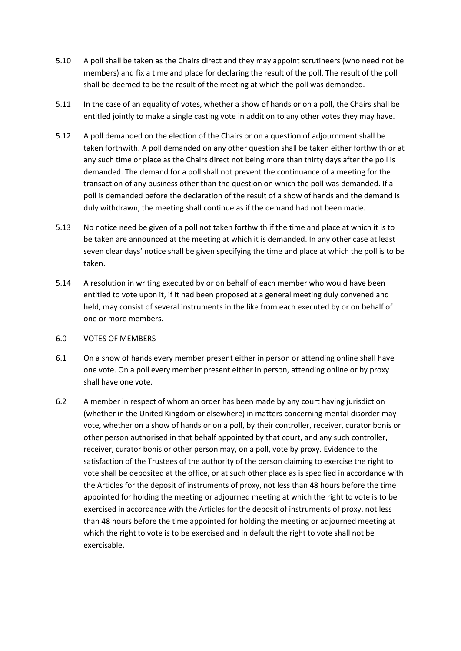- 5.10 A poll shall be taken as the Chairs direct and they may appoint scrutineers (who need not be members) and fix a time and place for declaring the result of the poll. The result of the poll shall be deemed to be the result of the meeting at which the poll was demanded.
- 5.11 In the case of an equality of votes, whether a show of hands or on a poll, the Chairs shall be entitled jointly to make a single casting vote in addition to any other votes they may have.
- 5.12 A poll demanded on the election of the Chairs or on a question of adjournment shall be taken forthwith. A poll demanded on any other question shall be taken either forthwith or at any such time or place as the Chairs direct not being more than thirty days after the poll is demanded. The demand for a poll shall not prevent the continuance of a meeting for the transaction of any business other than the question on which the poll was demanded. If a poll is demanded before the declaration of the result of a show of hands and the demand is duly withdrawn, the meeting shall continue as if the demand had not been made.
- 5.13 No notice need be given of a poll not taken forthwith if the time and place at which it is to be taken are announced at the meeting at which it is demanded. In any other case at least seven clear days' notice shall be given specifying the time and place at which the poll is to be taken.
- 5.14 A resolution in writing executed by or on behalf of each member who would have been entitled to vote upon it, if it had been proposed at a general meeting duly convened and held, may consist of several instruments in the like from each executed by or on behalf of one or more members.

# 6.0 VOTES OF MEMBERS

- 6.1 On a show of hands every member present either in person or attending online shall have one vote. On a poll every member present either in person, attending online or by proxy shall have one vote.
- 6.2 A member in respect of whom an order has been made by any court having jurisdiction (whether in the United Kingdom or elsewhere) in matters concerning mental disorder may vote, whether on a show of hands or on a poll, by their controller, receiver, curator bonis or other person authorised in that behalf appointed by that court, and any such controller, receiver, curator bonis or other person may, on a poll, vote by proxy. Evidence to the satisfaction of the Trustees of the authority of the person claiming to exercise the right to vote shall be deposited at the office, or at such other place as is specified in accordance with the Articles for the deposit of instruments of proxy, not less than 48 hours before the time appointed for holding the meeting or adjourned meeting at which the right to vote is to be exercised in accordance with the Articles for the deposit of instruments of proxy, not less than 48 hours before the time appointed for holding the meeting or adjourned meeting at which the right to vote is to be exercised and in default the right to vote shall not be exercisable.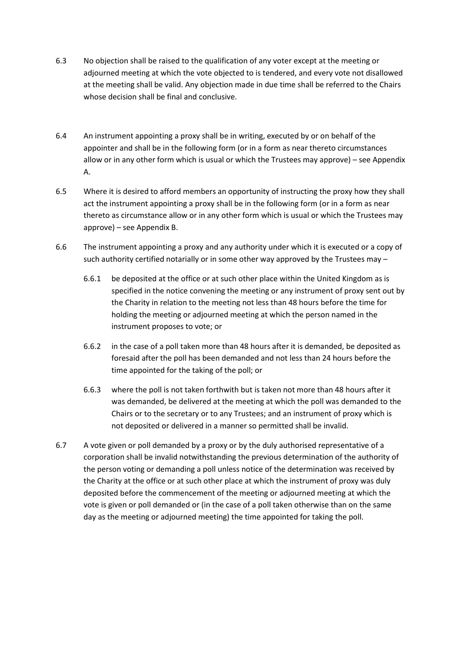- 6.3 No objection shall be raised to the qualification of any voter except at the meeting or adjourned meeting at which the vote objected to is tendered, and every vote not disallowed at the meeting shall be valid. Any objection made in due time shall be referred to the Chairs whose decision shall be final and conclusive.
- 6.4 An instrument appointing a proxy shall be in writing, executed by or on behalf of the appointer and shall be in the following form (or in a form as near thereto circumstances allow or in any other form which is usual or which the Trustees may approve) – see Appendix A.
- 6.5 Where it is desired to afford members an opportunity of instructing the proxy how they shall act the instrument appointing a proxy shall be in the following form (or in a form as near thereto as circumstance allow or in any other form which is usual or which the Trustees may approve) – see Appendix B.
- 6.6 The instrument appointing a proxy and any authority under which it is executed or a copy of such authority certified notarially or in some other way approved by the Trustees may  $-$ 
	- 6.6.1 be deposited at the office or at such other place within the United Kingdom as is specified in the notice convening the meeting or any instrument of proxy sent out by the Charity in relation to the meeting not less than 48 hours before the time for holding the meeting or adjourned meeting at which the person named in the instrument proposes to vote; or
	- 6.6.2 in the case of a poll taken more than 48 hours after it is demanded, be deposited as foresaid after the poll has been demanded and not less than 24 hours before the time appointed for the taking of the poll; or
	- 6.6.3 where the poll is not taken forthwith but is taken not more than 48 hours after it was demanded, be delivered at the meeting at which the poll was demanded to the Chairs or to the secretary or to any Trustees; and an instrument of proxy which is not deposited or delivered in a manner so permitted shall be invalid.
- 6.7 A vote given or poll demanded by a proxy or by the duly authorised representative of a corporation shall be invalid notwithstanding the previous determination of the authority of the person voting or demanding a poll unless notice of the determination was received by the Charity at the office or at such other place at which the instrument of proxy was duly deposited before the commencement of the meeting or adjourned meeting at which the vote is given or poll demanded or (in the case of a poll taken otherwise than on the same day as the meeting or adjourned meeting) the time appointed for taking the poll.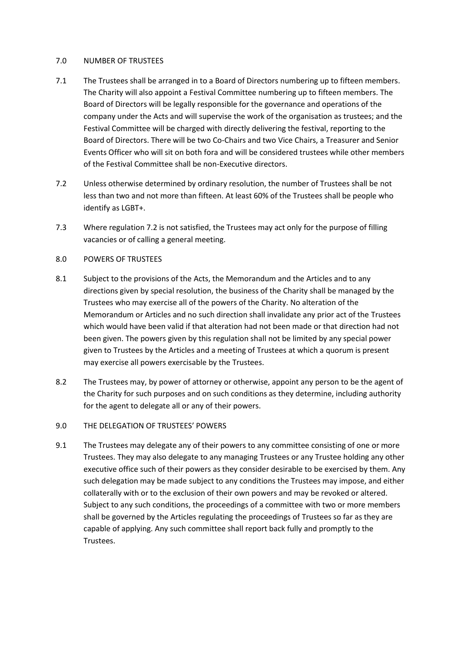## 7.0 NUMBER OF TRUSTEES

- 7.1 The Trustees shall be arranged in to a Board of Directors numbering up to fifteen members. The Charity will also appoint a Festival Committee numbering up to fifteen members. The Board of Directors will be legally responsible for the governance and operations of the company under the Acts and will supervise the work of the organisation as trustees; and the Festival Committee will be charged with directly delivering the festival, reporting to the Board of Directors. There will be two Co-Chairs and two Vice Chairs, a Treasurer and Senior Events Officer who will sit on both fora and will be considered trustees while other members of the Festival Committee shall be non-Executive directors.
- 7.2 Unless otherwise determined by ordinary resolution, the number of Trustees shall be not less than two and not more than fifteen. At least 60% of the Trustees shall be people who identify as LGBT+.
- 7.3 Where regulation 7.2 is not satisfied, the Trustees may act only for the purpose of filling vacancies or of calling a general meeting.
- 8.0 POWERS OF TRUSTEES
- 8.1 Subject to the provisions of the Acts, the Memorandum and the Articles and to any directions given by special resolution, the business of the Charity shall be managed by the Trustees who may exercise all of the powers of the Charity. No alteration of the Memorandum or Articles and no such direction shall invalidate any prior act of the Trustees which would have been valid if that alteration had not been made or that direction had not been given. The powers given by this regulation shall not be limited by any special power given to Trustees by the Articles and a meeting of Trustees at which a quorum is present may exercise all powers exercisable by the Trustees.
- 8.2 The Trustees may, by power of attorney or otherwise, appoint any person to be the agent of the Charity for such purposes and on such conditions as they determine, including authority for the agent to delegate all or any of their powers.
- 9.0 THE DELEGATION OF TRUSTEES' POWERS
- 9.1 The Trustees may delegate any of their powers to any committee consisting of one or more Trustees. They may also delegate to any managing Trustees or any Trustee holding any other executive office such of their powers as they consider desirable to be exercised by them. Any such delegation may be made subject to any conditions the Trustees may impose, and either collaterally with or to the exclusion of their own powers and may be revoked or altered. Subject to any such conditions, the proceedings of a committee with two or more members shall be governed by the Articles regulating the proceedings of Trustees so far as they are capable of applying. Any such committee shall report back fully and promptly to the Trustees.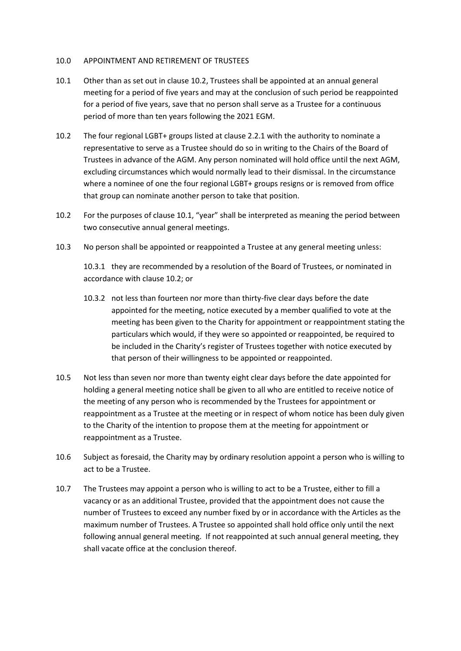### 10.0 APPOINTMENT AND RETIREMENT OF TRUSTEES

- 10.1 Other than as set out in clause 10.2, Trustees shall be appointed at an annual general meeting for a period of five years and may at the conclusion of such period be reappointed for a period of five years, save that no person shall serve as a Trustee for a continuous period of more than ten years following the 2021 EGM.
- 10.2 The four regional LGBT+ groups listed at clause 2.2.1 with the authority to nominate a representative to serve as a Trustee should do so in writing to the Chairs of the Board of Trustees in advance of the AGM. Any person nominated will hold office until the next AGM, excluding circumstances which would normally lead to their dismissal. In the circumstance where a nominee of one the four regional LGBT+ groups resigns or is removed from office that group can nominate another person to take that position.
- 10.2 For the purposes of clause 10.1, "year" shall be interpreted as meaning the period between two consecutive annual general meetings.
- 10.3 No person shall be appointed or reappointed a Trustee at any general meeting unless:

10.3.1 they are recommended by a resolution of the Board of Trustees, or nominated in accordance with clause 10.2; or

- 10.3.2 not less than fourteen nor more than thirty-five clear days before the date appointed for the meeting, notice executed by a member qualified to vote at the meeting has been given to the Charity for appointment or reappointment stating the particulars which would, if they were so appointed or reappointed, be required to be included in the Charity's register of Trustees together with notice executed by that person of their willingness to be appointed or reappointed.
- 10.5 Not less than seven nor more than twenty eight clear days before the date appointed for holding a general meeting notice shall be given to all who are entitled to receive notice of the meeting of any person who is recommended by the Trustees for appointment or reappointment as a Trustee at the meeting or in respect of whom notice has been duly given to the Charity of the intention to propose them at the meeting for appointment or reappointment as a Trustee.
- 10.6 Subject as foresaid, the Charity may by ordinary resolution appoint a person who is willing to act to be a Trustee.
- 10.7 The Trustees may appoint a person who is willing to act to be a Trustee, either to fill a vacancy or as an additional Trustee, provided that the appointment does not cause the number of Trustees to exceed any number fixed by or in accordance with the Articles as the maximum number of Trustees. A Trustee so appointed shall hold office only until the next following annual general meeting. If not reappointed at such annual general meeting, they shall vacate office at the conclusion thereof.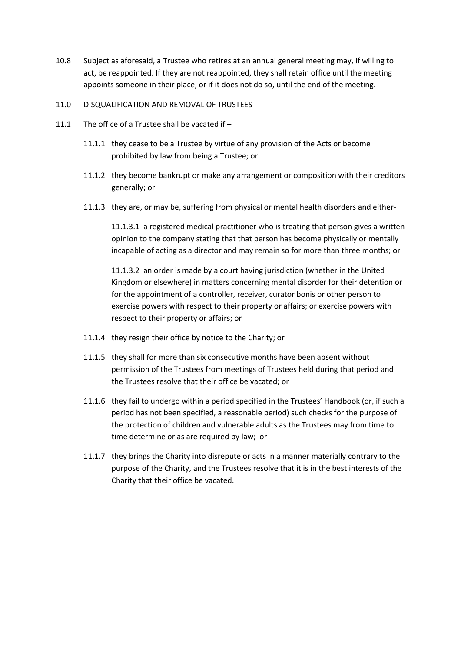10.8 Subject as aforesaid, a Trustee who retires at an annual general meeting may, if willing to act, be reappointed. If they are not reappointed, they shall retain office until the meeting appoints someone in their place, or if it does not do so, until the end of the meeting.

# 11.0 DISQUALIFICATION AND REMOVAL OF TRUSTEES

- 11.1 The office of a Trustee shall be vacated if
	- 11.1.1 they cease to be a Trustee by virtue of any provision of the Acts or become prohibited by law from being a Trustee; or
	- 11.1.2 they become bankrupt or make any arrangement or composition with their creditors generally; or
	- 11.1.3 they are, or may be, suffering from physical or mental health disorders and either-

11.1.3.1 a registered medical practitioner who is treating that person gives a written opinion to the company stating that that person has become physically or mentally incapable of acting as a director and may remain so for more than three months; or

11.1.3.2 an order is made by a court having jurisdiction (whether in the United Kingdom or elsewhere) in matters concerning mental disorder for their detention or for the appointment of a controller, receiver, curator bonis or other person to exercise powers with respect to their property or affairs; or exercise powers with respect to their property or affairs; or

- 11.1.4 they resign their office by notice to the Charity; or
- 11.1.5 they shall for more than six consecutive months have been absent without permission of the Trustees from meetings of Trustees held during that period and the Trustees resolve that their office be vacated; or
- 11.1.6 they fail to undergo within a period specified in the Trustees' Handbook (or, if such a period has not been specified, a reasonable period) such checks for the purpose of the protection of children and vulnerable adults as the Trustees may from time to time determine or as are required by law; or
- 11.1.7 they brings the Charity into disrepute or acts in a manner materially contrary to the purpose of the Charity, and the Trustees resolve that it is in the best interests of the Charity that their office be vacated.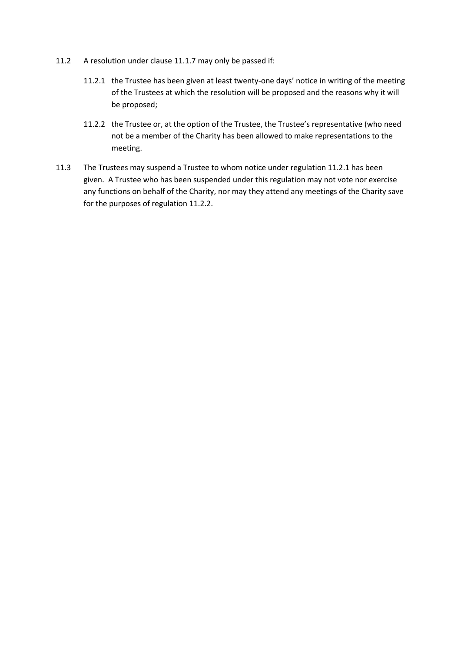- 11.2 A resolution under clause 11.1.7 may only be passed if:
	- 11.2.1 the Trustee has been given at least twenty-one days' notice in writing of the meeting of the Trustees at which the resolution will be proposed and the reasons why it will be proposed;
	- 11.2.2 the Trustee or, at the option of the Trustee, the Trustee's representative (who need not be a member of the Charity has been allowed to make representations to the meeting.
- 11.3 The Trustees may suspend a Trustee to whom notice under regulation 11.2.1 has been given. A Trustee who has been suspended under this regulation may not vote nor exercise any functions on behalf of the Charity, nor may they attend any meetings of the Charity save for the purposes of regulation 11.2.2.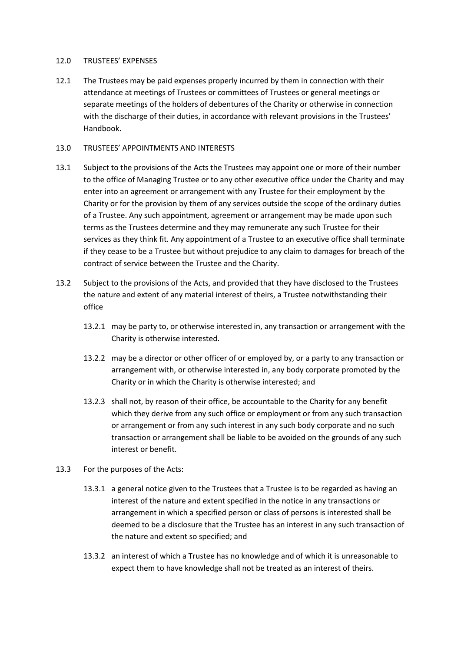### 12.0 TRUSTEES' EXPENSES

12.1 The Trustees may be paid expenses properly incurred by them in connection with their attendance at meetings of Trustees or committees of Trustees or general meetings or separate meetings of the holders of debentures of the Charity or otherwise in connection with the discharge of their duties, in accordance with relevant provisions in the Trustees' Handbook.

# 13.0 TRUSTEES' APPOINTMENTS AND INTERESTS

- 13.1 Subject to the provisions of the Acts the Trustees may appoint one or more of their number to the office of Managing Trustee or to any other executive office under the Charity and may enter into an agreement or arrangement with any Trustee for their employment by the Charity or for the provision by them of any services outside the scope of the ordinary duties of a Trustee. Any such appointment, agreement or arrangement may be made upon such terms as the Trustees determine and they may remunerate any such Trustee for their services as they think fit. Any appointment of a Trustee to an executive office shall terminate if they cease to be a Trustee but without prejudice to any claim to damages for breach of the contract of service between the Trustee and the Charity.
- 13.2 Subject to the provisions of the Acts, and provided that they have disclosed to the Trustees the nature and extent of any material interest of theirs, a Trustee notwithstanding their office
	- 13.2.1 may be party to, or otherwise interested in, any transaction or arrangement with the Charity is otherwise interested.
	- 13.2.2 may be a director or other officer of or employed by, or a party to any transaction or arrangement with, or otherwise interested in, any body corporate promoted by the Charity or in which the Charity is otherwise interested; and
	- 13.2.3 shall not, by reason of their office, be accountable to the Charity for any benefit which they derive from any such office or employment or from any such transaction or arrangement or from any such interest in any such body corporate and no such transaction or arrangement shall be liable to be avoided on the grounds of any such interest or benefit.
- 13.3 For the purposes of the Acts:
	- 13.3.1 a general notice given to the Trustees that a Trustee is to be regarded as having an interest of the nature and extent specified in the notice in any transactions or arrangement in which a specified person or class of persons is interested shall be deemed to be a disclosure that the Trustee has an interest in any such transaction of the nature and extent so specified; and
	- 13.3.2 an interest of which a Trustee has no knowledge and of which it is unreasonable to expect them to have knowledge shall not be treated as an interest of theirs.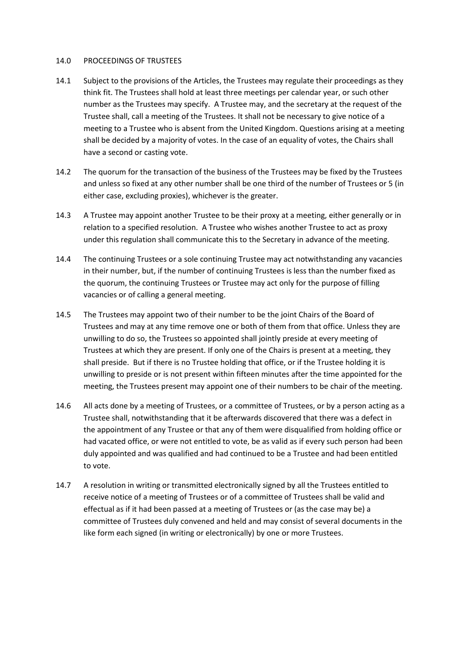### 14.0 PROCEEDINGS OF TRUSTEES

- 14.1 Subject to the provisions of the Articles, the Trustees may regulate their proceedings as they think fit. The Trustees shall hold at least three meetings per calendar year, or such other number as the Trustees may specify. A Trustee may, and the secretary at the request of the Trustee shall, call a meeting of the Trustees. It shall not be necessary to give notice of a meeting to a Trustee who is absent from the United Kingdom. Questions arising at a meeting shall be decided by a majority of votes. In the case of an equality of votes, the Chairs shall have a second or casting vote.
- 14.2 The quorum for the transaction of the business of the Trustees may be fixed by the Trustees and unless so fixed at any other number shall be one third of the number of Trustees or 5 (in either case, excluding proxies), whichever is the greater.
- 14.3 A Trustee may appoint another Trustee to be their proxy at a meeting, either generally or in relation to a specified resolution. A Trustee who wishes another Trustee to act as proxy under this regulation shall communicate this to the Secretary in advance of the meeting.
- 14.4 The continuing Trustees or a sole continuing Trustee may act notwithstanding any vacancies in their number, but, if the number of continuing Trustees is less than the number fixed as the quorum, the continuing Trustees or Trustee may act only for the purpose of filling vacancies or of calling a general meeting.
- 14.5 The Trustees may appoint two of their number to be the joint Chairs of the Board of Trustees and may at any time remove one or both of them from that office. Unless they are unwilling to do so, the Trustees so appointed shall jointly preside at every meeting of Trustees at which they are present. If only one of the Chairs is present at a meeting, they shall preside. But if there is no Trustee holding that office, or if the Trustee holding it is unwilling to preside or is not present within fifteen minutes after the time appointed for the meeting, the Trustees present may appoint one of their numbers to be chair of the meeting.
- 14.6 All acts done by a meeting of Trustees, or a committee of Trustees, or by a person acting as a Trustee shall, notwithstanding that it be afterwards discovered that there was a defect in the appointment of any Trustee or that any of them were disqualified from holding office or had vacated office, or were not entitled to vote, be as valid as if every such person had been duly appointed and was qualified and had continued to be a Trustee and had been entitled to vote.
- 14.7 A resolution in writing or transmitted electronically signed by all the Trustees entitled to receive notice of a meeting of Trustees or of a committee of Trustees shall be valid and effectual as if it had been passed at a meeting of Trustees or (as the case may be) a committee of Trustees duly convened and held and may consist of several documents in the like form each signed (in writing or electronically) by one or more Trustees.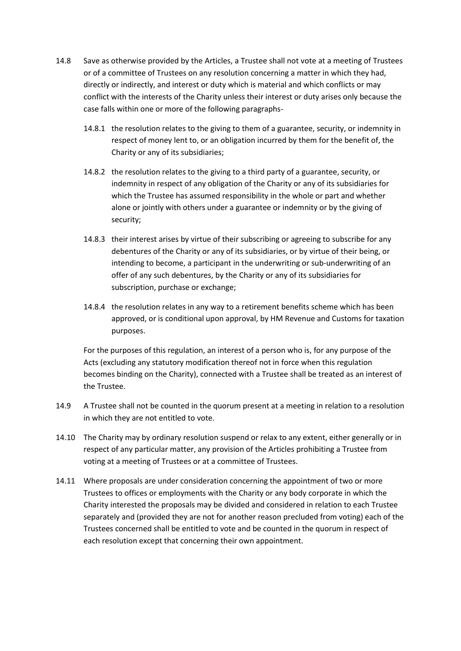- 14.8 Save as otherwise provided by the Articles, a Trustee shall not vote at a meeting of Trustees or of a committee of Trustees on any resolution concerning a matter in which they had, directly or indirectly, and interest or duty which is material and which conflicts or may conflict with the interests of the Charity unless their interest or duty arises only because the case falls within one or more of the following paragraphs-
	- 14.8.1 the resolution relates to the giving to them of a guarantee, security, or indemnity in respect of money lent to, or an obligation incurred by them for the benefit of, the Charity or any of its subsidiaries;
	- 14.8.2 the resolution relates to the giving to a third party of a guarantee, security, or indemnity in respect of any obligation of the Charity or any of its subsidiaries for which the Trustee has assumed responsibility in the whole or part and whether alone or jointly with others under a guarantee or indemnity or by the giving of security;
	- 14.8.3 their interest arises by virtue of their subscribing or agreeing to subscribe for any debentures of the Charity or any of its subsidiaries, or by virtue of their being, or intending to become, a participant in the underwriting or sub-underwriting of an offer of any such debentures, by the Charity or any of its subsidiaries for subscription, purchase or exchange;
	- 14.8.4 the resolution relates in any way to a retirement benefits scheme which has been approved, or is conditional upon approval, by HM Revenue and Customs for taxation purposes.

For the purposes of this regulation, an interest of a person who is, for any purpose of the Acts (excluding any statutory modification thereof not in force when this regulation becomes binding on the Charity), connected with a Trustee shall be treated as an interest of the Trustee.

- 14.9 A Trustee shall not be counted in the quorum present at a meeting in relation to a resolution in which they are not entitled to vote.
- 14.10 The Charity may by ordinary resolution suspend or relax to any extent, either generally or in respect of any particular matter, any provision of the Articles prohibiting a Trustee from voting at a meeting of Trustees or at a committee of Trustees.
- 14.11 Where proposals are under consideration concerning the appointment of two or more Trustees to offices or employments with the Charity or any body corporate in which the Charity interested the proposals may be divided and considered in relation to each Trustee separately and (provided they are not for another reason precluded from voting) each of the Trustees concerned shall be entitled to vote and be counted in the quorum in respect of each resolution except that concerning their own appointment.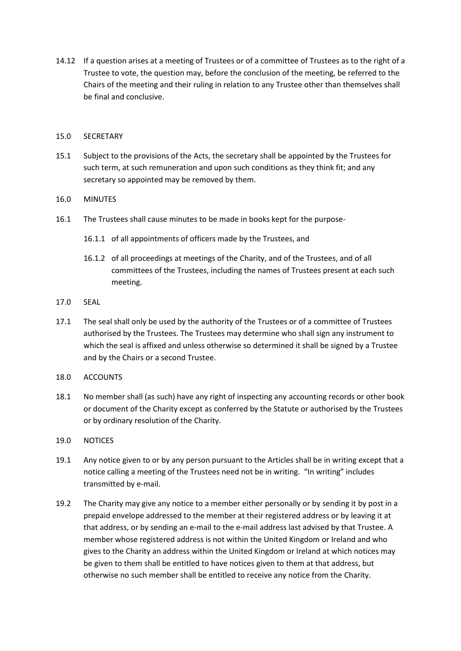14.12 If a question arises at a meeting of Trustees or of a committee of Trustees as to the right of a Trustee to vote, the question may, before the conclusion of the meeting, be referred to the Chairs of the meeting and their ruling in relation to any Trustee other than themselves shall be final and conclusive.

# 15.0 SECRETARY

- 15.1 Subject to the provisions of the Acts, the secretary shall be appointed by the Trustees for such term, at such remuneration and upon such conditions as they think fit; and any secretary so appointed may be removed by them.
- 16.0 MINUTES
- 16.1 The Trustees shall cause minutes to be made in books kept for the purpose-
	- 16.1.1 of all appointments of officers made by the Trustees, and
	- 16.1.2 of all proceedings at meetings of the Charity, and of the Trustees, and of all committees of the Trustees, including the names of Trustees present at each such meeting.
- 17.0 SEAL
- 17.1 The seal shall only be used by the authority of the Trustees or of a committee of Trustees authorised by the Trustees. The Trustees may determine who shall sign any instrument to which the seal is affixed and unless otherwise so determined it shall be signed by a Trustee and by the Chairs or a second Trustee.
- 18.0 ACCOUNTS
- 18.1 No member shall (as such) have any right of inspecting any accounting records or other book or document of the Charity except as conferred by the Statute or authorised by the Trustees or by ordinary resolution of the Charity.
- 19.0 NOTICES
- 19.1 Any notice given to or by any person pursuant to the Articles shall be in writing except that a notice calling a meeting of the Trustees need not be in writing. "In writing" includes transmitted by e-mail.
- 19.2 The Charity may give any notice to a member either personally or by sending it by post in a prepaid envelope addressed to the member at their registered address or by leaving it at that address, or by sending an e-mail to the e-mail address last advised by that Trustee. A member whose registered address is not within the United Kingdom or Ireland and who gives to the Charity an address within the United Kingdom or Ireland at which notices may be given to them shall be entitled to have notices given to them at that address, but otherwise no such member shall be entitled to receive any notice from the Charity.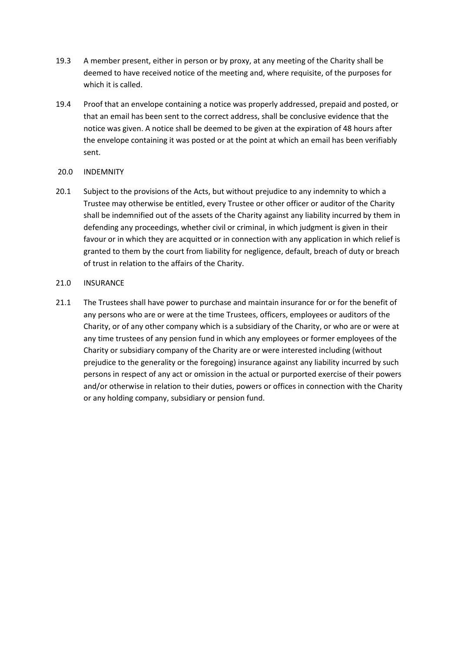- 19.3 A member present, either in person or by proxy, at any meeting of the Charity shall be deemed to have received notice of the meeting and, where requisite, of the purposes for which it is called.
- 19.4 Proof that an envelope containing a notice was properly addressed, prepaid and posted, or that an email has been sent to the correct address, shall be conclusive evidence that the notice was given. A notice shall be deemed to be given at the expiration of 48 hours after the envelope containing it was posted or at the point at which an email has been verifiably sent.
- 20.0 INDEMNITY
- 20.1 Subject to the provisions of the Acts, but without prejudice to any indemnity to which a Trustee may otherwise be entitled, every Trustee or other officer or auditor of the Charity shall be indemnified out of the assets of the Charity against any liability incurred by them in defending any proceedings, whether civil or criminal, in which judgment is given in their favour or in which they are acquitted or in connection with any application in which relief is granted to them by the court from liability for negligence, default, breach of duty or breach of trust in relation to the affairs of the Charity.

# 21.0 INSURANCE

21.1 The Trustees shall have power to purchase and maintain insurance for or for the benefit of any persons who are or were at the time Trustees, officers, employees or auditors of the Charity, or of any other company which is a subsidiary of the Charity, or who are or were at any time trustees of any pension fund in which any employees or former employees of the Charity or subsidiary company of the Charity are or were interested including (without prejudice to the generality or the foregoing) insurance against any liability incurred by such persons in respect of any act or omission in the actual or purported exercise of their powers and/or otherwise in relation to their duties, powers or offices in connection with the Charity or any holding company, subsidiary or pension fund.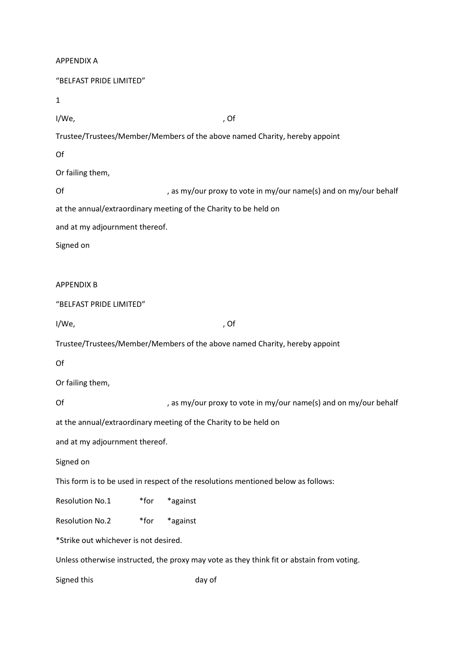| <b>APPENDIX A</b>                     |                                                                                           |
|---------------------------------------|-------------------------------------------------------------------------------------------|
| "BELFAST PRIDE LIMITED"               |                                                                                           |
| 1                                     |                                                                                           |
| I/We,                                 | , Of                                                                                      |
|                                       | Trustee/Trustees/Member/Members of the above named Charity, hereby appoint                |
| Of                                    |                                                                                           |
| Or failing them,                      |                                                                                           |
| Of                                    | , as my/our proxy to vote in my/our name(s) and on my/our behalf                          |
|                                       | at the annual/extraordinary meeting of the Charity to be held on                          |
| and at my adjournment thereof.        |                                                                                           |
| Signed on                             |                                                                                           |
|                                       |                                                                                           |
| <b>APPENDIX B</b>                     |                                                                                           |
| "BELFAST PRIDE LIMITED"               |                                                                                           |
| I/We,                                 | , Of                                                                                      |
|                                       | Trustee/Trustees/Member/Members of the above named Charity, hereby appoint                |
| Of                                    |                                                                                           |
| Or failing them,                      |                                                                                           |
| Of                                    | , as my/our proxy to vote in my/our name(s) and on my/our behalf                          |
|                                       | at the annual/extraordinary meeting of the Charity to be held on                          |
| and at my adjournment thereof.        |                                                                                           |
| Signed on                             |                                                                                           |
|                                       | This form is to be used in respect of the resolutions mentioned below as follows:         |
| <b>Resolution No.1</b>                | *against<br>$*$ for                                                                       |
| <b>Resolution No.2</b>                | *against<br>$*$ for                                                                       |
| *Strike out whichever is not desired. |                                                                                           |
|                                       | Unless otherwise instructed, the proxy may vote as they think fit or abstain from voting. |
| Signed this                           | day of                                                                                    |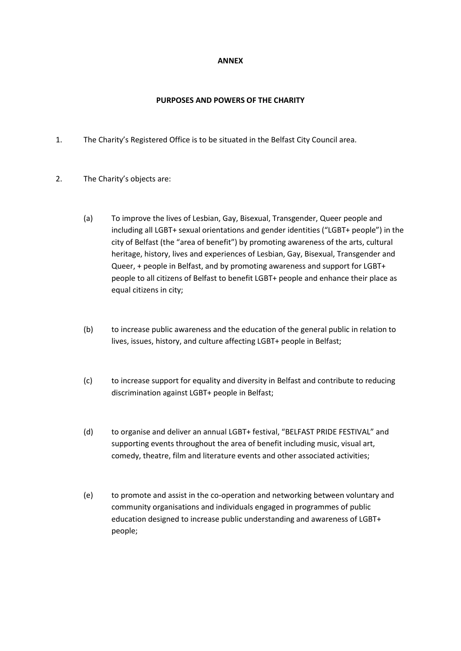## **ANNEX**

# **PURPOSES AND POWERS OF THE CHARITY**

- 1. The Charity's Registered Office is to be situated in the Belfast City Council area.
- 2. The Charity's objects are:
	- (a) To improve the lives of Lesbian, Gay, Bisexual, Transgender, Queer people and including all LGBT+ sexual orientations and gender identities ("LGBT+ people") in the city of Belfast (the "area of benefit") by promoting awareness of the arts, cultural heritage, history, lives and experiences of Lesbian, Gay, Bisexual, Transgender and Queer, + people in Belfast, and by promoting awareness and support for LGBT+ people to all citizens of Belfast to benefit LGBT+ people and enhance their place as equal citizens in city;
	- (b) to increase public awareness and the education of the general public in relation to lives, issues, history, and culture affecting LGBT+ people in Belfast;
	- (c) to increase support for equality and diversity in Belfast and contribute to reducing discrimination against LGBT+ people in Belfast;
	- (d) to organise and deliver an annual LGBT+ festival, "BELFAST PRIDE FESTIVAL" and supporting events throughout the area of benefit including music, visual art, comedy, theatre, film and literature events and other associated activities;
	- (e) to promote and assist in the co-operation and networking between voluntary and community organisations and individuals engaged in programmes of public education designed to increase public understanding and awareness of LGBT+ people;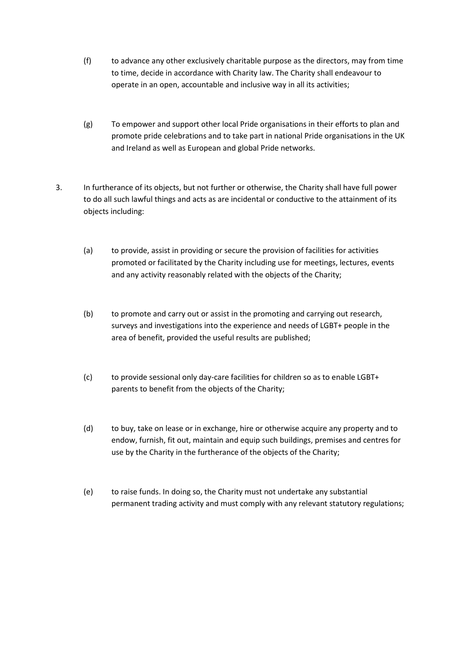- (f) to advance any other exclusively charitable purpose as the directors, may from time to time, decide in accordance with Charity law. The Charity shall endeavour to operate in an open, accountable and inclusive way in all its activities;
- (g) To empower and support other local Pride organisations in their efforts to plan and promote pride celebrations and to take part in national Pride organisations in the UK and Ireland as well as European and global Pride networks.
- 3. In furtherance of its objects, but not further or otherwise, the Charity shall have full power to do all such lawful things and acts as are incidental or conductive to the attainment of its objects including:
	- (a) to provide, assist in providing or secure the provision of facilities for activities promoted or facilitated by the Charity including use for meetings, lectures, events and any activity reasonably related with the objects of the Charity;
	- (b) to promote and carry out or assist in the promoting and carrying out research, surveys and investigations into the experience and needs of LGBT+ people in the area of benefit, provided the useful results are published;
	- (c) to provide sessional only day-care facilities for children so as to enable LGBT+ parents to benefit from the objects of the Charity;
	- (d) to buy, take on lease or in exchange, hire or otherwise acquire any property and to endow, furnish, fit out, maintain and equip such buildings, premises and centres for use by the Charity in the furtherance of the objects of the Charity;
	- (e) to raise funds. In doing so, the Charity must not undertake any substantial permanent trading activity and must comply with any relevant statutory regulations;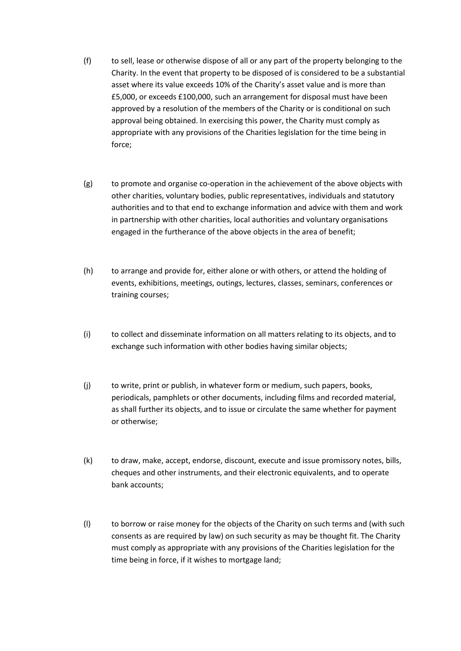- (f) to sell, lease or otherwise dispose of all or any part of the property belonging to the Charity. In the event that property to be disposed of is considered to be a substantial asset where its value exceeds 10% of the Charity's asset value and is more than £5,000, or exceeds £100,000, such an arrangement for disposal must have been approved by a resolution of the members of the Charity or is conditional on such approval being obtained. In exercising this power, the Charity must comply as appropriate with any provisions of the Charities legislation for the time being in force;
- (g) to promote and organise co-operation in the achievement of the above objects with other charities, voluntary bodies, public representatives, individuals and statutory authorities and to that end to exchange information and advice with them and work in partnership with other charities, local authorities and voluntary organisations engaged in the furtherance of the above objects in the area of benefit;
- (h) to arrange and provide for, either alone or with others, or attend the holding of events, exhibitions, meetings, outings, lectures, classes, seminars, conferences or training courses;
- (i) to collect and disseminate information on all matters relating to its objects, and to exchange such information with other bodies having similar objects;
- (j) to write, print or publish, in whatever form or medium, such papers, books, periodicals, pamphlets or other documents, including films and recorded material, as shall further its objects, and to issue or circulate the same whether for payment or otherwise;
- (k) to draw, make, accept, endorse, discount, execute and issue promissory notes, bills, cheques and other instruments, and their electronic equivalents, and to operate bank accounts;
- (l) to borrow or raise money for the objects of the Charity on such terms and (with such consents as are required by law) on such security as may be thought fit. The Charity must comply as appropriate with any provisions of the Charities legislation for the time being in force, if it wishes to mortgage land;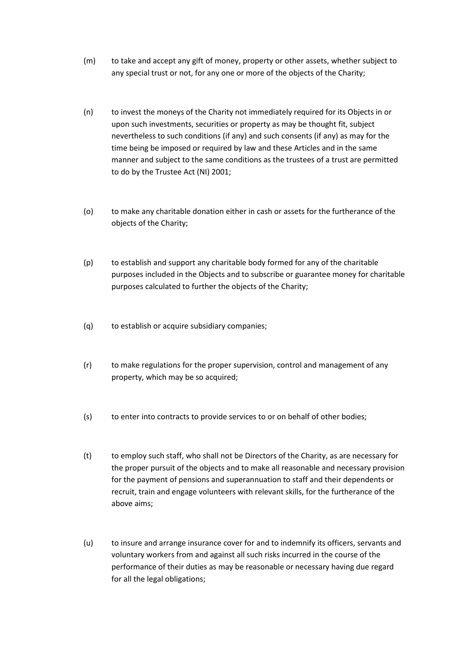- (m) to take and accept any gift of money, property or other assets, whether subject to any special trust or not, for any one or more of the objects of the Charity;
- (n) to invest the moneys of the Charity not immediately required for its Objects in or upon such investments, securities or property as may be thought fit, subject nevertheless to such conditions (if any) and such consents (if any) as may for the time being be imposed or required by law and these Articles and in the same manner and subject to the same conditions as the trustees of a trust are permitted to do by the Trustee Act (NI) 2001;
- (o) to make any charitable donation either in cash or assets for the furtherance of the objects of the Charity;
- (p) to establish and support any charitable body formed for any of the charitable purposes included in the Objects and to subscribe or guarantee money for charitable purposes calculated to further the objects of the Charity;
- (q) to establish or acquire subsidiary companies;
- (r) to make regulations for the proper supervision, control and management of any property, which may be so acquired;
- (s) to enter into contracts to provide services to or on behalf of other bodies;
- (t) to employ such staff, who shall not be Directors of the Charity, as are necessary for the proper pursuit of the objects and to make all reasonable and necessary provision for the payment of pensions and superannuation to staff and their dependents or recruit, train and engage volunteers with relevant skills, for the furtherance of the above aims;
- (u) to insure and arrange insurance cover for and to indemnify its officers, servants and voluntary workers from and against all such risks incurred in the course of the performance of their duties as may be reasonable or necessary having due regard for all the legal obligations;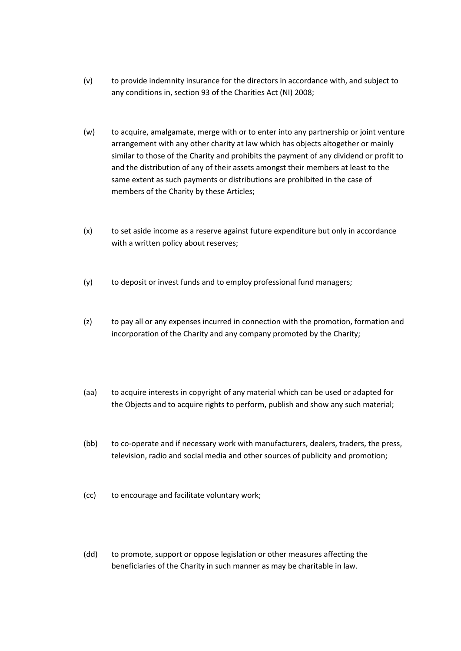- (v) to provide indemnity insurance for the directors in accordance with, and subject to any conditions in, section 93 of the Charities Act (NI) 2008;
- (w) to acquire, amalgamate, merge with or to enter into any partnership or joint venture arrangement with any other charity at law which has objects altogether or mainly similar to those of the Charity and prohibits the payment of any dividend or profit to and the distribution of any of their assets amongst their members at least to the same extent as such payments or distributions are prohibited in the case of members of the Charity by these Articles;
- (x) to set aside income as a reserve against future expenditure but only in accordance with a written policy about reserves;
- (y) to deposit or invest funds and to employ professional fund managers;
- (z) to pay all or any expenses incurred in connection with the promotion, formation and incorporation of the Charity and any company promoted by the Charity;
- (aa) to acquire interests in copyright of any material which can be used or adapted for the Objects and to acquire rights to perform, publish and show any such material;
- (bb) to co-operate and if necessary work with manufacturers, dealers, traders, the press, television, radio and social media and other sources of publicity and promotion;
- (cc) to encourage and facilitate voluntary work;
- (dd) to promote, support or oppose legislation or other measures affecting the beneficiaries of the Charity in such manner as may be charitable in law.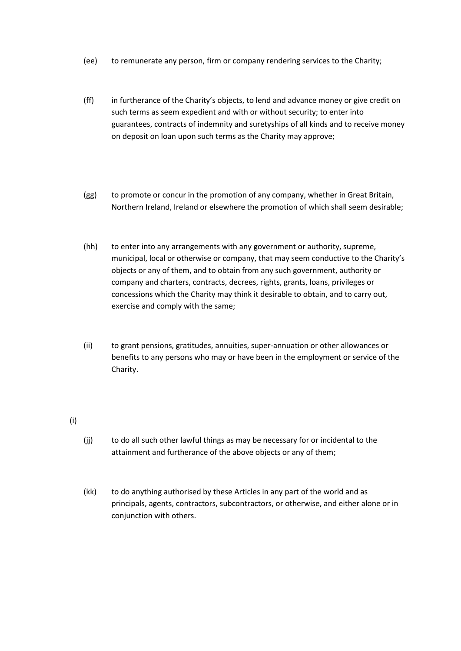- (ee) to remunerate any person, firm or company rendering services to the Charity;
- (ff) in furtherance of the Charity's objects, to lend and advance money or give credit on such terms as seem expedient and with or without security; to enter into guarantees, contracts of indemnity and suretyships of all kinds and to receive money on deposit on loan upon such terms as the Charity may approve;
- (gg) to promote or concur in the promotion of any company, whether in Great Britain, Northern Ireland, Ireland or elsewhere the promotion of which shall seem desirable;
- (hh) to enter into any arrangements with any government or authority, supreme, municipal, local or otherwise or company, that may seem conductive to the Charity's objects or any of them, and to obtain from any such government, authority or company and charters, contracts, decrees, rights, grants, loans, privileges or concessions which the Charity may think it desirable to obtain, and to carry out, exercise and comply with the same;
- (ii) to grant pensions, gratitudes, annuities, super-annuation or other allowances or benefits to any persons who may or have been in the employment or service of the Charity.

(i)

- (jj) to do all such other lawful things as may be necessary for or incidental to the attainment and furtherance of the above objects or any of them;
- (kk) to do anything authorised by these Articles in any part of the world and as principals, agents, contractors, subcontractors, or otherwise, and either alone or in conjunction with others.